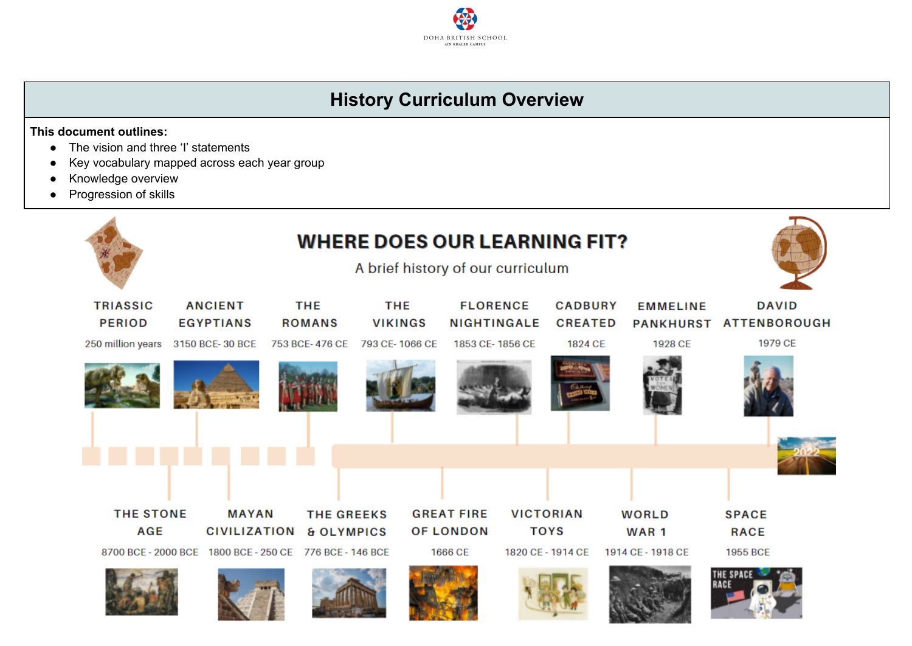## **History Curriculum Overview**

DOHA BRITISH SCHOOL AIN KHALED CAMPUS

**This document outlines:**

- The vision and three 'I' statements
- Key vocabulary mapped across each year group
- Knowledge overview
- Progression of skills

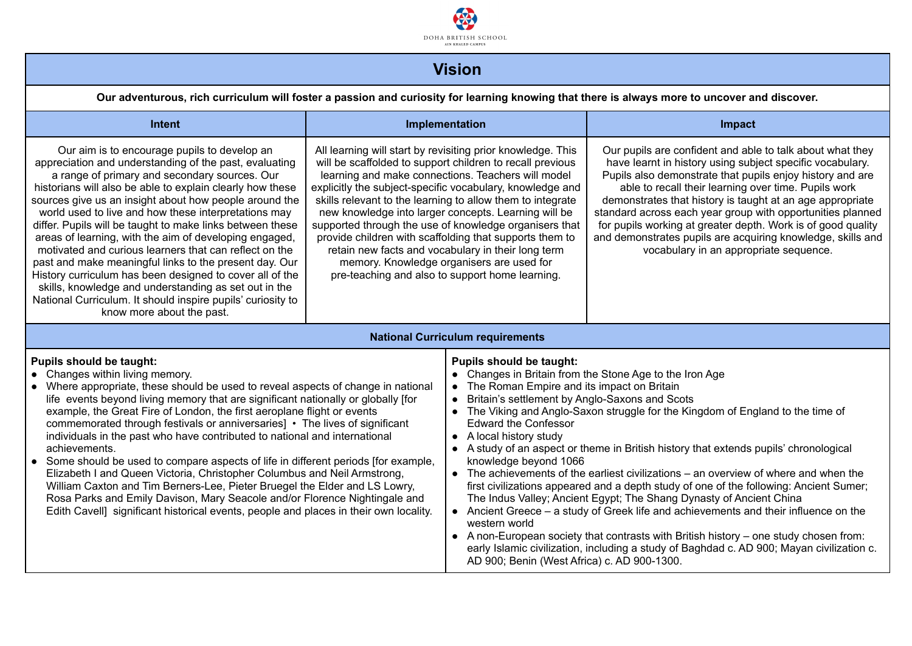

## **Vision**

Our adventurous, rich curriculum will foster a passion and curiosity for learning knowing that there is always more to uncover and discover.

| Intent                                                                                                                                                                                                                                                                                                                                                                                                                                                                                                                                                                                                                                                                                                                                                                                                                                                                                                                  |                                                                                                                                                                                                                                                                                                                                                                                                                                                                                                                                                                                                                                              | Implementation                                                                                                                                                                                                                                                                                                                                                                                                                                                                                                                                                                                                                                                                                                                                                                                                                                                                                                                                                                                                                                                   | Impact                                                                                                                                                                                                                                                                                                                                                                                                                                                                                                                                          |  |
|-------------------------------------------------------------------------------------------------------------------------------------------------------------------------------------------------------------------------------------------------------------------------------------------------------------------------------------------------------------------------------------------------------------------------------------------------------------------------------------------------------------------------------------------------------------------------------------------------------------------------------------------------------------------------------------------------------------------------------------------------------------------------------------------------------------------------------------------------------------------------------------------------------------------------|----------------------------------------------------------------------------------------------------------------------------------------------------------------------------------------------------------------------------------------------------------------------------------------------------------------------------------------------------------------------------------------------------------------------------------------------------------------------------------------------------------------------------------------------------------------------------------------------------------------------------------------------|------------------------------------------------------------------------------------------------------------------------------------------------------------------------------------------------------------------------------------------------------------------------------------------------------------------------------------------------------------------------------------------------------------------------------------------------------------------------------------------------------------------------------------------------------------------------------------------------------------------------------------------------------------------------------------------------------------------------------------------------------------------------------------------------------------------------------------------------------------------------------------------------------------------------------------------------------------------------------------------------------------------------------------------------------------------|-------------------------------------------------------------------------------------------------------------------------------------------------------------------------------------------------------------------------------------------------------------------------------------------------------------------------------------------------------------------------------------------------------------------------------------------------------------------------------------------------------------------------------------------------|--|
| Our aim is to encourage pupils to develop an<br>appreciation and understanding of the past, evaluating<br>a range of primary and secondary sources. Our<br>historians will also be able to explain clearly how these<br>sources give us an insight about how people around the<br>world used to live and how these interpretations may<br>differ. Pupils will be taught to make links between these<br>areas of learning, with the aim of developing engaged,<br>motivated and curious learners that can reflect on the<br>past and make meaningful links to the present day. Our<br>History curriculum has been designed to cover all of the<br>skills, knowledge and understanding as set out in the<br>National Curriculum. It should inspire pupils' curiosity to<br>know more about the past.                                                                                                                      | All learning will start by revisiting prior knowledge. This<br>will be scaffolded to support children to recall previous<br>learning and make connections. Teachers will model<br>explicitly the subject-specific vocabulary, knowledge and<br>skills relevant to the learning to allow them to integrate<br>new knowledge into larger concepts. Learning will be<br>supported through the use of knowledge organisers that<br>provide children with scaffolding that supports them to<br>retain new facts and vocabulary in their long term<br>memory. Knowledge organisers are used for<br>pre-teaching and also to support home learning. |                                                                                                                                                                                                                                                                                                                                                                                                                                                                                                                                                                                                                                                                                                                                                                                                                                                                                                                                                                                                                                                                  | Our pupils are confident and able to talk about what they<br>have learnt in history using subject specific vocabulary.<br>Pupils also demonstrate that pupils enjoy history and are<br>able to recall their learning over time. Pupils work<br>demonstrates that history is taught at an age appropriate<br>standard across each year group with opportunities planned<br>for pupils working at greater depth. Work is of good quality<br>and demonstrates pupils are acquiring knowledge, skills and<br>vocabulary in an appropriate sequence. |  |
|                                                                                                                                                                                                                                                                                                                                                                                                                                                                                                                                                                                                                                                                                                                                                                                                                                                                                                                         |                                                                                                                                                                                                                                                                                                                                                                                                                                                                                                                                                                                                                                              | <b>National Curriculum requirements</b>                                                                                                                                                                                                                                                                                                                                                                                                                                                                                                                                                                                                                                                                                                                                                                                                                                                                                                                                                                                                                          |                                                                                                                                                                                                                                                                                                                                                                                                                                                                                                                                                 |  |
| <b>Pupils should be taught:</b><br>Changes within living memory.<br>Where appropriate, these should be used to reveal aspects of change in national<br>life events beyond living memory that are significant nationally or globally [for<br>example, the Great Fire of London, the first aeroplane flight or events<br>commemorated through festivals or anniversaries] • The lives of significant<br>individuals in the past who have contributed to national and international<br>achievements.<br>Some should be used to compare aspects of life in different periods [for example,<br>Elizabeth I and Queen Victoria, Christopher Columbus and Neil Armstrong,<br>William Caxton and Tim Berners-Lee, Pieter Bruegel the Elder and LS Lowry,<br>Rosa Parks and Emily Davison, Mary Seacole and/or Florence Nightingale and<br>Edith Cavell] significant historical events, people and places in their own locality. |                                                                                                                                                                                                                                                                                                                                                                                                                                                                                                                                                                                                                                              | <b>Pupils should be taught:</b><br>• Changes in Britain from the Stone Age to the Iron Age<br>The Roman Empire and its impact on Britain<br>Britain's settlement by Anglo-Saxons and Scots<br>• The Viking and Anglo-Saxon struggle for the Kingdom of England to the time of<br><b>Edward the Confessor</b><br>• A local history study<br>• A study of an aspect or theme in British history that extends pupils' chronological<br>knowledge beyond 1066<br>• The achievements of the earliest civilizations – an overview of where and when the<br>first civilizations appeared and a depth study of one of the following: Ancient Sumer;<br>The Indus Valley; Ancient Egypt; The Shang Dynasty of Ancient China<br>• Ancient Greece - a study of Greek life and achievements and their influence on the<br>western world<br>• A non-European society that contrasts with British history – one study chosen from:<br>early Islamic civilization, including a study of Baghdad c. AD 900; Mayan civilization c.<br>AD 900; Benin (West Africa) c. AD 900-1300. |                                                                                                                                                                                                                                                                                                                                                                                                                                                                                                                                                 |  |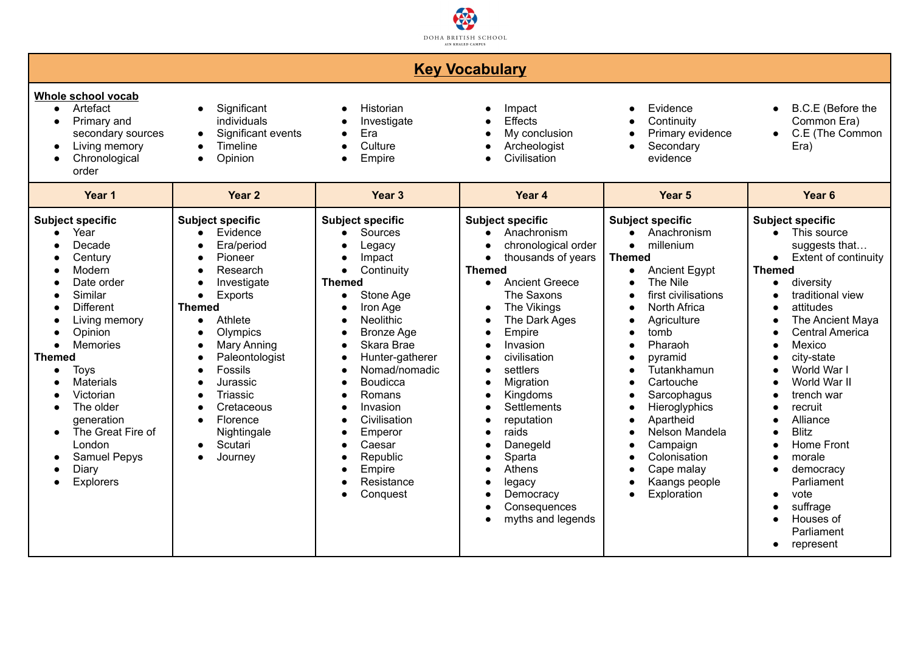

| <b>Key Vocabulary</b>                                                                                                                                                                                                                                                                                                                                                                  |                                                                                                                                                                                                                                                                                                                                                              |                                                                                                                                                                                                                                                                                                                                                                                                          |                                                                                                                                                                                                                                                                                                                                                                                                                                                                                                                                                                                                                                                              |                                                                                                                                                                                                                                                                                                                                                                                       |                                                                                                                                                                                                                                                                                                                                                                                                                                                                                    |
|----------------------------------------------------------------------------------------------------------------------------------------------------------------------------------------------------------------------------------------------------------------------------------------------------------------------------------------------------------------------------------------|--------------------------------------------------------------------------------------------------------------------------------------------------------------------------------------------------------------------------------------------------------------------------------------------------------------------------------------------------------------|----------------------------------------------------------------------------------------------------------------------------------------------------------------------------------------------------------------------------------------------------------------------------------------------------------------------------------------------------------------------------------------------------------|--------------------------------------------------------------------------------------------------------------------------------------------------------------------------------------------------------------------------------------------------------------------------------------------------------------------------------------------------------------------------------------------------------------------------------------------------------------------------------------------------------------------------------------------------------------------------------------------------------------------------------------------------------------|---------------------------------------------------------------------------------------------------------------------------------------------------------------------------------------------------------------------------------------------------------------------------------------------------------------------------------------------------------------------------------------|------------------------------------------------------------------------------------------------------------------------------------------------------------------------------------------------------------------------------------------------------------------------------------------------------------------------------------------------------------------------------------------------------------------------------------------------------------------------------------|
| Whole school vocab<br>Artefact<br>$\bullet$<br>Primary and<br>$\bullet$<br>secondary sources<br>Living memory<br>$\bullet$<br>Chronological<br>$\bullet$<br>order                                                                                                                                                                                                                      | Significant<br>$\bullet$<br>individuals<br>Significant events<br>$\bullet$<br>Timeline<br>$\bullet$<br>Opinion<br>$\bullet$                                                                                                                                                                                                                                  | Historian<br>Investigate<br>Era<br>$\bullet$<br>Culture<br>Empire<br>$\bullet$                                                                                                                                                                                                                                                                                                                           | Impact<br>$\bullet$<br><b>Effects</b><br>$\bullet$<br>My conclusion<br>$\bullet$<br>Archeologist<br>$\bullet$<br>Civilisation<br>$\bullet$                                                                                                                                                                                                                                                                                                                                                                                                                                                                                                                   | Evidence<br>Continuity<br>Primary evidence<br>Secondary<br>evidence                                                                                                                                                                                                                                                                                                                   | B.C.E (Before the<br>$\bullet$<br>Common Era)<br>C.E (The Common<br>$\bullet$<br>Era)                                                                                                                                                                                                                                                                                                                                                                                              |
| Year 1                                                                                                                                                                                                                                                                                                                                                                                 | Year <sub>2</sub>                                                                                                                                                                                                                                                                                                                                            | Year <sub>3</sub>                                                                                                                                                                                                                                                                                                                                                                                        | Year <sub>4</sub>                                                                                                                                                                                                                                                                                                                                                                                                                                                                                                                                                                                                                                            | Year <sub>5</sub>                                                                                                                                                                                                                                                                                                                                                                     | Year <sub>6</sub>                                                                                                                                                                                                                                                                                                                                                                                                                                                                  |
| <b>Subject specific</b><br>Year<br>Decade<br>Century<br>Modern<br>Date order<br>Similar<br><b>Different</b><br>Living memory<br>Opinion<br><b>Memories</b><br>$\bullet$<br><b>Themed</b><br><b>Toys</b><br>$\bullet$<br><b>Materials</b><br>Victorian<br>The older<br>generation<br>The Great Fire of<br>$\bullet$<br>London<br><b>Samuel Pepys</b><br>Diary<br>Explorers<br>$\bullet$ | <b>Subject specific</b><br>Evidence<br>Era/period<br>Pioneer<br>Research<br>Investigate<br>$\bullet$<br>Exports<br>$\bullet$<br><b>Themed</b><br>Athlete<br>$\bullet$<br>Olympics<br>Mary Anning<br>Paleontologist<br>Fossils<br>Jurassic<br>Triassic<br>$\epsilon$<br>Cretaceous<br>Florence<br>$\bullet$<br>Nightingale<br>Scutari<br>$\bullet$<br>Journey | <b>Subject specific</b><br>Sources<br>$\bullet$<br>Legacy<br>Impact<br>$\bullet$<br>Continuity<br>$\bullet$<br><b>Themed</b><br>Stone Age<br>$\bullet$<br>Iron Age<br><b>Neolithic</b><br><b>Bronze Age</b><br>Skara Brae<br>Hunter-gatherer<br>Nomad/nomadic<br><b>Boudicca</b><br>Romans<br>Invasion<br>Civilisation<br>Emperor<br>Caesar<br>Republic<br>Empire<br>Resistance<br>Conquest<br>$\bullet$ | <b>Subject specific</b><br>Anachronism<br>chronological order<br>$\bullet$<br>thousands of years<br>$\bullet$<br><b>Themed</b><br><b>Ancient Greece</b><br>$\bullet$<br>The Saxons<br>The Vikings<br>$\bullet$<br>The Dark Ages<br>$\bullet$<br>Empire<br>$\bullet$<br>Invasion<br>$\bullet$<br>civilisation<br>settlers<br>$\bullet$<br>Migration<br>$\bullet$<br>Kingdoms<br>$\bullet$<br>Settlements<br>$\bullet$<br>reputation<br>$\bullet$<br>raids<br>$\bullet$<br>Danegeld<br>$\bullet$<br>Sparta<br>$\bullet$<br>Athens<br>$\bullet$<br>legacy<br>$\bullet$<br>Democracy<br>$\bullet$<br>Consequences<br>$\bullet$<br>myths and legends<br>$\bullet$ | <b>Subject specific</b><br>Anachronism<br>millenium<br>$\bullet$<br><b>Themed</b><br><b>Ancient Egypt</b><br>The Nile<br>first civilisations<br><b>North Africa</b><br>Agriculture<br>tomb<br>Pharaoh<br>pyramid<br>Tutankhamun<br>Cartouche<br>Sarcophagus<br>Hieroglyphics<br>Apartheid<br>Nelson Mandela<br>Campaign<br>Colonisation<br>Cape malay<br>Kaangs people<br>Exploration | <b>Subject specific</b><br>This source<br>suggests that<br><b>Extent of continuity</b><br>$\bullet$<br><b>Themed</b><br>diversity<br>$\bullet$<br>traditional view<br>attitudes<br>The Ancient Maya<br><b>Central America</b><br>Mexico<br>city-state<br>World War I<br>World War II<br>trench war<br>recruit<br>Alliance<br><b>Blitz</b><br>Home Front<br>morale<br>democracy<br>Parliament<br>vote<br>$\bullet$<br>suffrage<br>Houses of<br>Parliament<br>represent<br>$\bullet$ |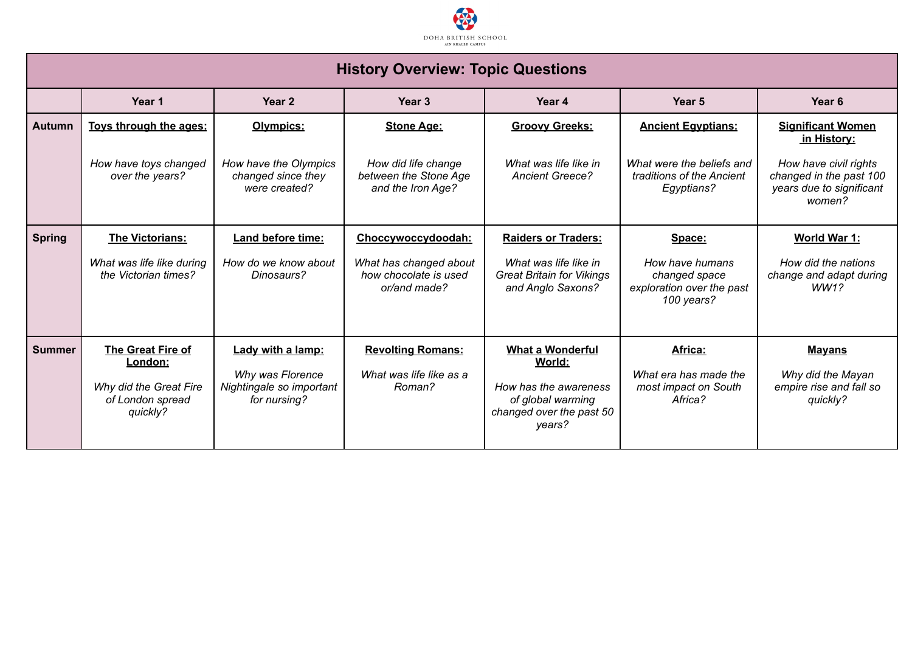

| <b>History Overview: Topic Questions</b> |                                                                                                      |                                                                                   |                                                                   |                                                                                                                       |                                                                             |                                                                                        |
|------------------------------------------|------------------------------------------------------------------------------------------------------|-----------------------------------------------------------------------------------|-------------------------------------------------------------------|-----------------------------------------------------------------------------------------------------------------------|-----------------------------------------------------------------------------|----------------------------------------------------------------------------------------|
|                                          | Year 1<br>Year <sub>2</sub><br>Year <sub>3</sub><br>Year 4<br>Year <sub>5</sub><br>Year <sub>6</sub> |                                                                                   |                                                                   |                                                                                                                       |                                                                             |                                                                                        |
| <b>Autumn</b>                            | Toys through the ages:                                                                               | Olympics:                                                                         | <b>Stone Age:</b>                                                 | <b>Groovy Greeks:</b>                                                                                                 | <b>Ancient Egyptians:</b>                                                   | <b>Significant Women</b><br>in History:                                                |
|                                          | How have toys changed<br>over the years?                                                             | How have the Olympics<br>changed since they<br>were created?                      | How did life change<br>between the Stone Age<br>and the Iron Age? | What was life like in<br><b>Ancient Greece?</b>                                                                       | What were the beliefs and<br>traditions of the Ancient<br>Egyptians?        | How have civil rights<br>changed in the past 100<br>years due to significant<br>women? |
| <b>Spring</b>                            | <b>The Victorians:</b>                                                                               | Land before time:                                                                 | Choccywoccydoodah:                                                | <b>Raiders or Traders:</b>                                                                                            | Space:                                                                      | World War 1:                                                                           |
|                                          | What was life like during<br>the Victorian times?                                                    | How do we know about<br>Dinosaurs?                                                | What has changed about<br>how chocolate is used<br>or/and made?   | What was life like in<br><b>Great Britain for Vikings</b><br>and Anglo Saxons?                                        | How have humans<br>changed space<br>exploration over the past<br>100 years? | How did the nations<br>change and adapt during<br>WW1?                                 |
| <b>Summer</b>                            | The Great Fire of<br>London:<br>Why did the Great Fire<br>of London spread<br>quickly?               | Lady with a lamp:<br>Why was Florence<br>Nightingale so important<br>for nursing? | <b>Revolting Romans:</b><br>What was life like as a<br>Roman?     | <b>What a Wonderful</b><br>World:<br>How has the awareness<br>of global warming<br>changed over the past 50<br>years? | Africa:<br>What era has made the<br>most impact on South<br>Africa?         | <b>Mayans</b><br>Why did the Mayan<br>empire rise and fall so<br>quickly?              |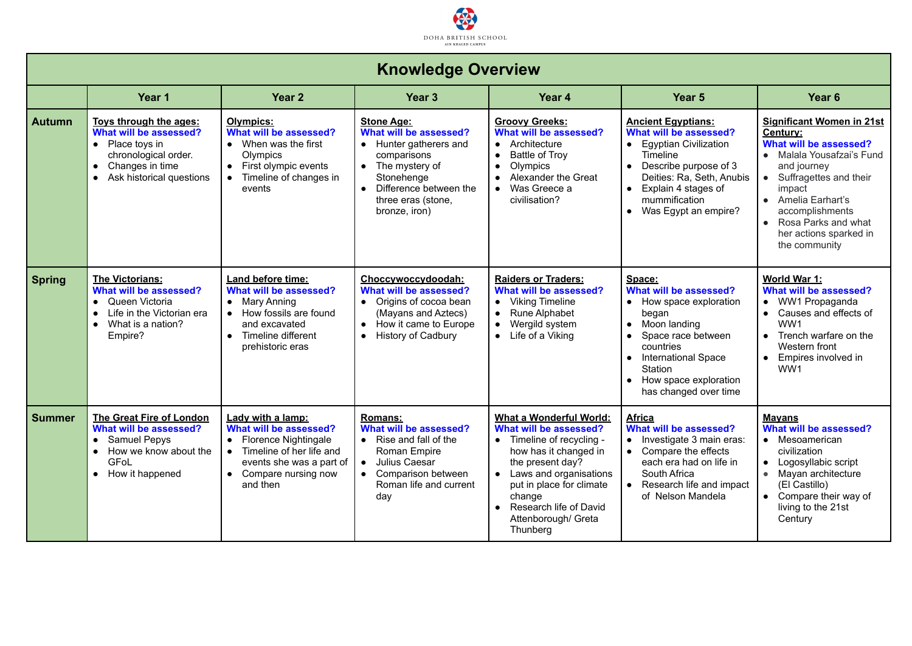

| <b>Knowledge Overview</b> |                                                                                                                                                                        |                                                                                                                                                                                 |                                                                                                                                                                                                      |                                                                                                                                                                                                                                                            |                                                                                                                                                                                                                              |                                                                                                                                                                                                                                                                     |
|---------------------------|------------------------------------------------------------------------------------------------------------------------------------------------------------------------|---------------------------------------------------------------------------------------------------------------------------------------------------------------------------------|------------------------------------------------------------------------------------------------------------------------------------------------------------------------------------------------------|------------------------------------------------------------------------------------------------------------------------------------------------------------------------------------------------------------------------------------------------------------|------------------------------------------------------------------------------------------------------------------------------------------------------------------------------------------------------------------------------|---------------------------------------------------------------------------------------------------------------------------------------------------------------------------------------------------------------------------------------------------------------------|
|                           | Year 1<br>Year <sub>2</sub><br>Year <sub>3</sub><br>Year 4<br>Year <sub>5</sub><br>Year <sub>6</sub>                                                                   |                                                                                                                                                                                 |                                                                                                                                                                                                      |                                                                                                                                                                                                                                                            |                                                                                                                                                                                                                              |                                                                                                                                                                                                                                                                     |
| <b>Autumn</b>             | Toys through the ages:<br>What will be assessed?<br>• Place toys in<br>chronological order.<br>Changes in time<br>$\bullet$<br>Ask historical questions<br>$\bullet$   | <b>Olympics:</b><br>What will be assessed?<br>• When was the first<br>Olympics<br>First olympic events<br>$\bullet$<br>Timeline of changes in<br>events                         | <b>Stone Age:</b><br>What will be assessed?<br>• Hunter gatherers and<br>comparisons<br>• The mystery of<br>Stonehenge<br>Difference between the<br>$\bullet$<br>three eras (stone.<br>bronze, iron) | <b>Groovy Greeks:</b><br>What will be assessed?<br>• Architecture<br>Battle of Troy<br>$\bullet$<br>$\bullet$<br>Olympics<br>Alexander the Great<br>Was Greece a<br>civilisation?                                                                          | <b>Ancient Egyptians:</b><br>What will be assessed?<br>• Egyptian Civilization<br>Timeline<br>• Describe purpose of 3<br>Deities: Ra, Seth, Anubis<br>• Explain 4 stages of<br>mummification<br>• Was Egypt an empire?       | <b>Significant Women in 21st</b><br>Century:<br>What will be assessed?<br>• Malala Yousafzai's Fund<br>and journey<br>• Suffragettes and their<br>impact<br>• Amelia Earhart's<br>accomplishments<br>Rosa Parks and what<br>her actions sparked in<br>the community |
| <b>Spring</b>             | <b>The Victorians:</b><br>What will be assessed?<br>Queen Victoria<br>$\bullet$<br>Life in the Victorian era<br>$\bullet$<br>What is a nation?<br>$\bullet$<br>Empire? | Land before time:<br>What will be assessed?<br>• Mary Anning<br>• How fossils are found<br>and excavated<br>Timeline different<br>prehistoric eras                              | Choccywoccydoodah:<br>What will be assessed?<br>• Origins of cocoa bean<br>(Mayans and Aztecs)<br>• How it came to Europe<br><b>History of Cadbury</b><br>$\bullet$                                  | <b>Raiders or Traders:</b><br>What will be assessed?<br>• Viking Timeline<br>Rune Alphabet<br>$\bullet$<br>Wergild system<br>$\bullet$<br>• Life of a Viking                                                                                               | Space:<br>What will be assessed?<br>• How space exploration<br>began<br>• Moon landing<br>Space race between<br>$\bullet$<br>countries<br>• International Space<br>Station<br>How space exploration<br>has changed over time | World War 1:<br>What will be assessed?<br>• WW1 Propaganda<br>• Causes and effects of<br>WW1<br>Trench warfare on the<br>$\bullet$<br>Western front<br>Empires involved in<br>$\bullet$<br>WW1                                                                      |
| <b>Summer</b>             | The Great Fire of London<br>What will be assessed?<br>Samuel Pepys<br>How we know about the<br>$\bullet$<br>GFol<br>• How it happened                                  | Lady with a lamp:<br>What will be assessed?<br>• Florence Nightingale<br>Timeline of her life and<br>$\bullet$<br>events she was a part of<br>• Compare nursing now<br>and then | Romans:<br>What will be assessed?<br>• Rise and fall of the<br>Roman Empire<br>• Julius Caesar<br>• Comparison between<br>Roman life and current<br>day                                              | What a Wonderful World:<br>What will be assessed?<br>• Timeline of recycling -<br>how has it changed in<br>the present day?<br>Laws and organisations<br>put in place for climate<br>change<br>• Research life of David<br>Attenborough/ Greta<br>Thunberg | <b>Africa</b><br>What will be assessed?<br>• Investigate 3 main eras:<br>• Compare the effects<br>each era had on life in<br>South Africa<br>• Research life and impact<br>of Nelson Mandela                                 | <b>Mayans</b><br>What will be assessed?<br>• Mesoamerican<br>civilization<br>• Logosyllabic script<br>• Mayan architecture<br>(El Castillo)<br>• Compare their way of<br>living to the 21st<br>Century                                                              |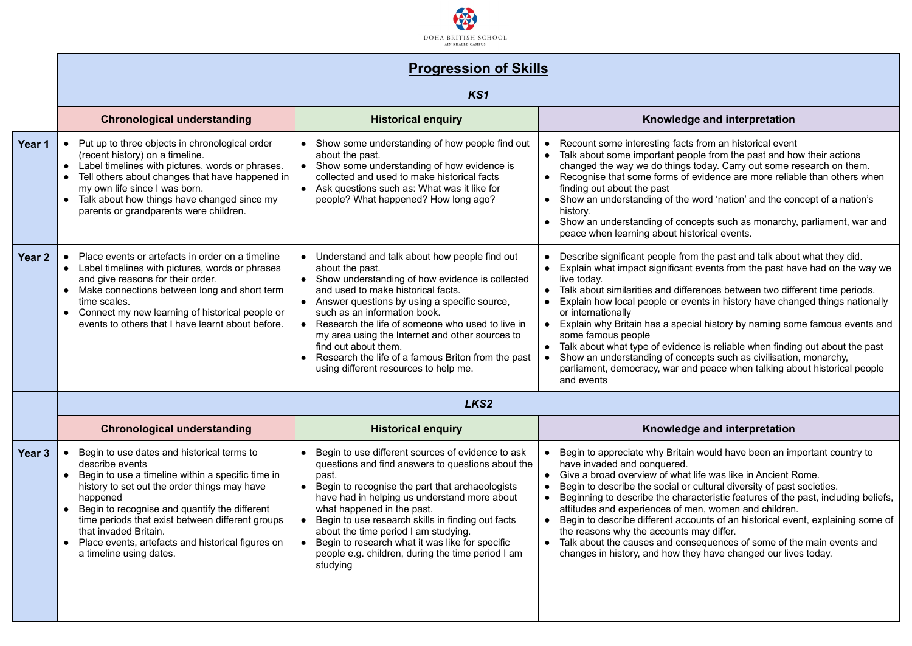

|  |  |  |  | <b>Progression of Skills</b> |
|--|--|--|--|------------------------------|
|--|--|--|--|------------------------------|

|        | PIUYIUSSIUII UI JAIIIS                                                                                                                                                                                                                                                                                                                                                                           |                                                                                                                                                                                                                                                                                                                                                                                                                                                                                                                                          |                                                                                                                                                                                                                                                                                                                                                                                                                                                                                                                                                                                                                                                                                                                                          |  |  |  |  |
|--------|--------------------------------------------------------------------------------------------------------------------------------------------------------------------------------------------------------------------------------------------------------------------------------------------------------------------------------------------------------------------------------------------------|------------------------------------------------------------------------------------------------------------------------------------------------------------------------------------------------------------------------------------------------------------------------------------------------------------------------------------------------------------------------------------------------------------------------------------------------------------------------------------------------------------------------------------------|------------------------------------------------------------------------------------------------------------------------------------------------------------------------------------------------------------------------------------------------------------------------------------------------------------------------------------------------------------------------------------------------------------------------------------------------------------------------------------------------------------------------------------------------------------------------------------------------------------------------------------------------------------------------------------------------------------------------------------------|--|--|--|--|
|        |                                                                                                                                                                                                                                                                                                                                                                                                  | KS1                                                                                                                                                                                                                                                                                                                                                                                                                                                                                                                                      |                                                                                                                                                                                                                                                                                                                                                                                                                                                                                                                                                                                                                                                                                                                                          |  |  |  |  |
|        | <b>Chronological understanding</b>                                                                                                                                                                                                                                                                                                                                                               | <b>Historical enquiry</b>                                                                                                                                                                                                                                                                                                                                                                                                                                                                                                                | Knowledge and interpretation                                                                                                                                                                                                                                                                                                                                                                                                                                                                                                                                                                                                                                                                                                             |  |  |  |  |
| Year 1 | • Put up to three objects in chronological order<br>(recent history) on a timeline.<br>• Label timelines with pictures, words or phrases.<br>Tell others about changes that have happened in<br>$\bullet$<br>my own life since I was born.<br>• Talk about how things have changed since my<br>parents or grandparents were children.                                                            | Show some understanding of how people find out<br>about the past.<br>• Show some understanding of how evidence is<br>collected and used to make historical facts<br>• Ask questions such as: What was it like for<br>people? What happened? How long ago?                                                                                                                                                                                                                                                                                | Recount some interesting facts from an historical event<br>$\bullet$<br>Talk about some important people from the past and how their actions<br>$\bullet$<br>changed the way we do things today. Carry out some research on them.<br>Recognise that some forms of evidence are more reliable than others when<br>$\bullet$<br>finding out about the past<br>Show an understanding of the word 'nation' and the concept of a nation's<br>history.<br>Show an understanding of concepts such as monarchy, parliament, war and<br>$\bullet$<br>peace when learning about historical events.                                                                                                                                                 |  |  |  |  |
| Year 2 | Place events or artefacts in order on a timeline<br>• Label timelines with pictures, words or phrases<br>and give reasons for their order.<br>• Make connections between long and short term<br>time scales.<br>• Connect my new learning of historical people or<br>events to others that I have learnt about before.                                                                           | Understand and talk about how people find out<br>$\bullet$<br>about the past.<br>Show understanding of how evidence is collected<br>$\bullet$<br>and used to make historical facts.<br>Answer questions by using a specific source,<br>$\bullet$<br>such as an information book.<br>Research the life of someone who used to live in<br>$\bullet$<br>my area using the Internet and other sources to<br>find out about them.<br>Research the life of a famous Briton from the past<br>$\bullet$<br>using different resources to help me. | Describe significant people from the past and talk about what they did.<br>Explain what impact significant events from the past have had on the way we<br>$\bullet$<br>live todav.<br>Talk about similarities and differences between two different time periods.<br>Explain how local people or events in history have changed things nationally<br>or internationally<br>Explain why Britain has a special history by naming some famous events and<br>$\bullet$<br>some famous people<br>Talk about what type of evidence is reliable when finding out about the past<br>Show an understanding of concepts such as civilisation, monarchy,<br>parliament, democracy, war and peace when talking about historical people<br>and events |  |  |  |  |
|        | LKS2                                                                                                                                                                                                                                                                                                                                                                                             |                                                                                                                                                                                                                                                                                                                                                                                                                                                                                                                                          |                                                                                                                                                                                                                                                                                                                                                                                                                                                                                                                                                                                                                                                                                                                                          |  |  |  |  |
|        | <b>Chronological understanding</b>                                                                                                                                                                                                                                                                                                                                                               | <b>Historical enquiry</b>                                                                                                                                                                                                                                                                                                                                                                                                                                                                                                                | Knowledge and interpretation                                                                                                                                                                                                                                                                                                                                                                                                                                                                                                                                                                                                                                                                                                             |  |  |  |  |
| Year 3 | Begin to use dates and historical terms to<br>describe events<br>• Begin to use a timeline within a specific time in<br>history to set out the order things may have<br>happened<br>• Begin to recognise and quantify the different<br>time periods that exist between different groups<br>that invaded Britain.<br>Place events, artefacts and historical figures on<br>a timeline using dates. | Begin to use different sources of evidence to ask<br>questions and find answers to questions about the<br>past.<br>Begin to recognise the part that archaeologists<br>$\bullet$<br>have had in helping us understand more about<br>what happened in the past.<br>Begin to use research skills in finding out facts<br>$\bullet$<br>about the time period I am studying.<br>Begin to research what it was like for specific<br>$\bullet$<br>people e.g. children, during the time period I am<br>studying                                 | Begin to appreciate why Britain would have been an important country to<br>have invaded and conquered.<br>Give a broad overview of what life was like in Ancient Rome.<br>$\bullet$<br>Begin to describe the social or cultural diversity of past societies.<br>Beginning to describe the characteristic features of the past, including beliefs,<br>$\bullet$<br>attitudes and experiences of men, women and children.<br>Begin to describe different accounts of an historical event, explaining some of<br>the reasons why the accounts may differ.<br>Talk about the causes and consequences of some of the main events and<br>$\bullet$<br>changes in history, and how they have changed our lives today.                           |  |  |  |  |